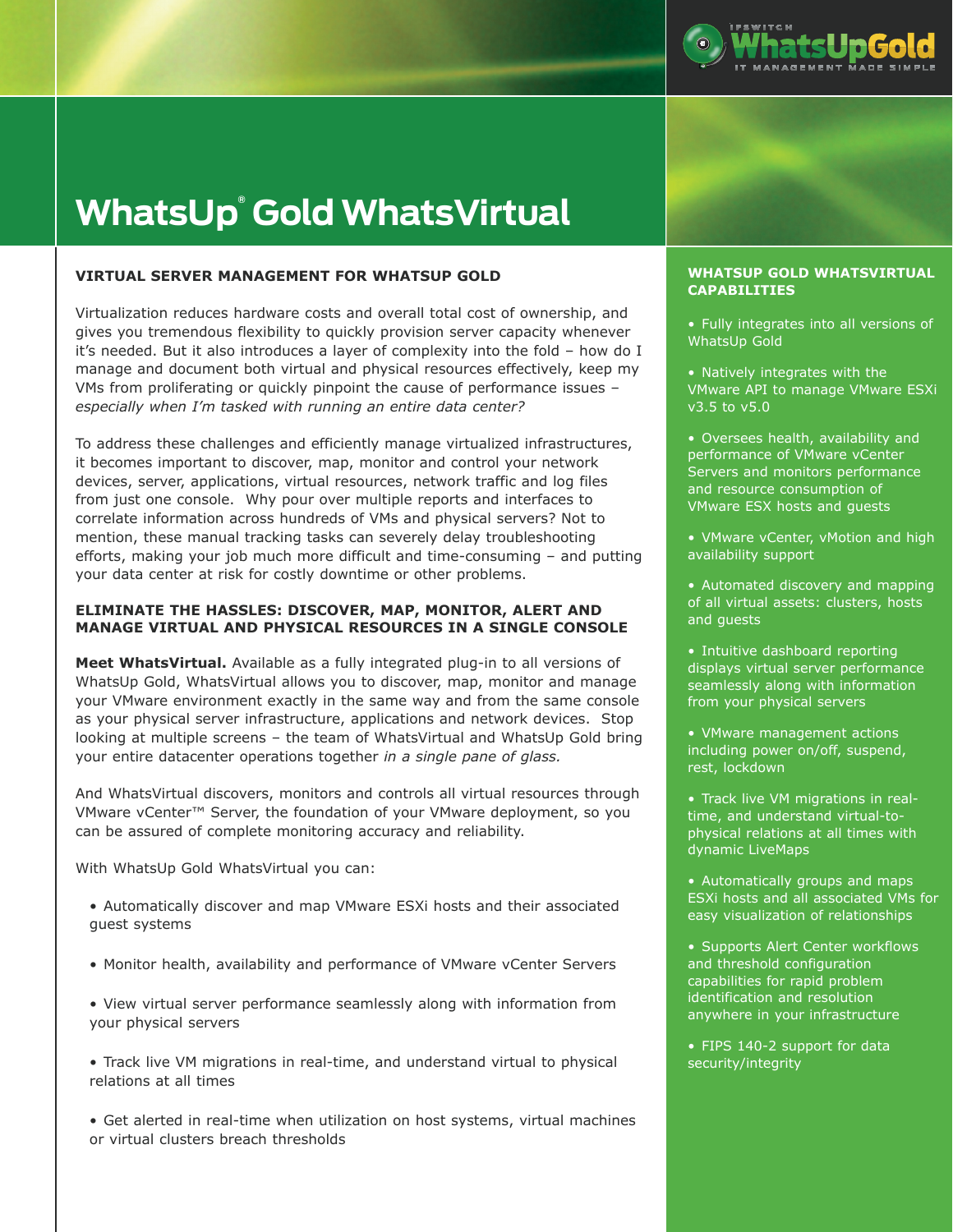

# **WhatsUp® Gold WhatsVirtual**

## **VIRTUAL SERVER MANAGEMENT FOR WHATSUP GOLD**

Virtualization reduces hardware costs and overall total cost of ownership, and gives you tremendous flexibility to quickly provision server capacity whenever it's needed. But it also introduces a layer of complexity into the fold – how do I manage and document both virtual and physical resources effectively, keep my VMs from proliferating or quickly pinpoint the cause of performance issues – *especially when I'm tasked with running an entire data center?*

To address these challenges and efficiently manage virtualized infrastructures, it becomes important to discover, map, monitor and control your network devices, server, applications, virtual resources, network traffic and log files from just one console. Why pour over multiple reports and interfaces to correlate information across hundreds of VMs and physical servers? Not to mention, these manual tracking tasks can severely delay troubleshooting efforts, making your job much more difficult and time-consuming – and putting your data center at risk for costly downtime or other problems.

## **ELIMINATE THE HASSLES: DISCOVER, MAP, MONITOR, ALERT AND MANAGE VIRTUAL AND PHYSICAL RESOURCES IN A SINGLE CONSOLE**

**Meet WhatsVirtual.** Available as a fully integrated plug-in to all versions of WhatsUp Gold, WhatsVirtual allows you to discover, map, monitor and manage your VMware environment exactly in the same way and from the same console as your physical server infrastructure, applications and network devices. Stop looking at multiple screens – the team of WhatsVirtual and WhatsUp Gold bring your entire datacenter operations together *in a single pane of glass.*

And WhatsVirtual discovers, monitors and controls all virtual resources through VMware vCenter™ Server, the foundation of your VMware deployment, so you can be assured of complete monitoring accuracy and reliability.

With WhatsUp Gold WhatsVirtual you can:

- Automatically discover and map VMware ESXi hosts and their associated guest systems
- • Monitor health, availability and performance of VMware vCenter Servers
- • View virtual server performance seamlessly along with information from your physical servers
- • Track live VM migrations in real-time, and understand virtual to physical relations at all times
- • Get alerted in real-time when utilization on host systems, virtual machines or virtual clusters breach thresholds

#### **WHATSUP GOLD WHATSVIRTUAL CAPABILITIES**

- Fully integrates into all versions of WhatsUp Gold
- Natively integrates with the VMware API to manage VMware ESXi v3.5 to v5.0
- Oversees health, availability and performance of VMware vCenter Servers and monitors performance and resource consumption of VMware ESX hosts and guests
- VMware vCenter, vMotion and high availability support
- Automated discovery and mapping of all virtual assets: clusters, hosts and guests
- Intuitive dashboard reporting displays virtual server performance seamlessly along with information from your physical servers
- VMware management actions including power on/off, suspend, rest, lockdown
- Track live VM migrations in realtime, and understand virtual-tophysical relations at all times with dynamic LiveMaps
- Automatically groups and maps ESXi hosts and all associated VMs for easy visualization of relationships
- Supports Alert Center workflows and threshold configuration capabilities for rapid problem identification and resolution anywhere in your infrastructure
- FIPS 140-2 support for data security/integrity